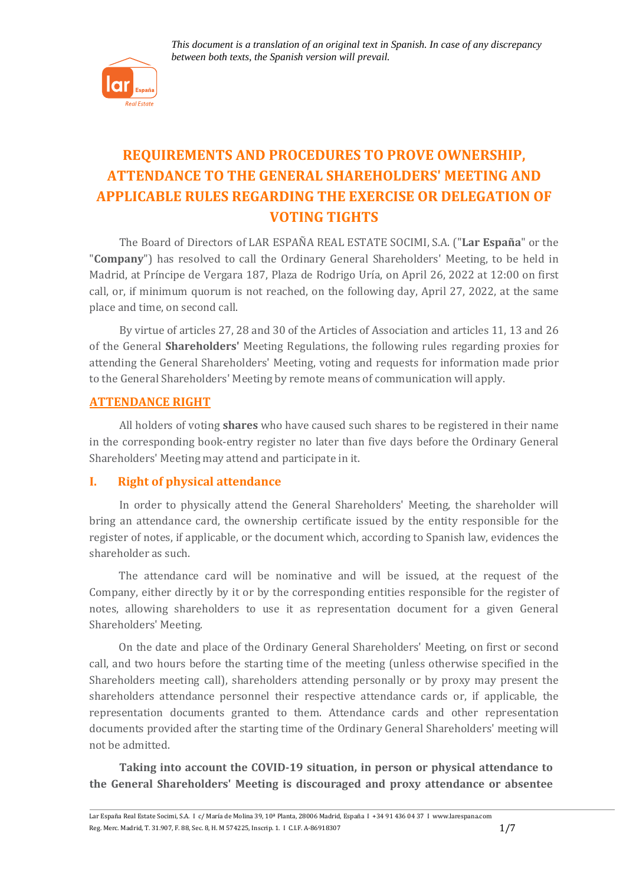

# **REQUIREMENTS AND PROCEDURES TO PROVE OWNERSHIP, ATTENDANCE TO THE GENERAL SHAREHOLDERS' MEETING AND APPLICABLE RULES REGARDING THE EXERCISE OR DELEGATION OF VOTING TIGHTS**

The Board of Directors of LAR ESPAÑA REAL ESTATE SOCIMI, S.A. ("**Lar España**" or the "**Company**") has resolved to call the Ordinary General Shareholders' Meeting, to be held in Madrid, at Príncipe de Vergara 187, Plaza de Rodrigo Uría, on April 26, 2022 at 12:00 on first call, or, if minimum quorum is not reached, on the following day, April 27, 2022, at the same place and time, on second call.

By virtue of articles 27, 28 and 30 of the Articles of Association and articles 11, 13 and 26 of the General **Shareholders'** Meeting Regulations, the following rules regarding proxies for attending the General Shareholders' Meeting, voting and requests for information made prior to the General Shareholders' Meeting by remote means of communication will apply.

# **ATTENDANCE RIGHT**

All holders of voting **shares** who have caused such shares to be registered in their name in the corresponding book-entry register no later than five days before the Ordinary General Shareholders' Meeting may attend and participate in it.

#### **I. Right of physical attendance**

In order to physically attend the General Shareholders' Meeting, the shareholder will bring an attendance card, the ownership certificate issued by the entity responsible for the register of notes, if applicable, or the document which, according to Spanish law, evidences the shareholder as such.

The attendance card will be nominative and will be issued, at the request of the Company, either directly by it or by the corresponding entities responsible for the register of notes, allowing shareholders to use it as representation document for a given General Shareholders' Meeting.

On the date and place of the Ordinary General Shareholders' Meeting, on first or second call, and two hours before the starting time of the meeting (unless otherwise specified in the Shareholders meeting call), shareholders attending personally or by proxy may present the shareholders attendance personnel their respective attendance cards or, if applicable, the representation documents granted to them. Attendance cards and other representation documents provided after the starting time of the Ordinary General Shareholders' meeting will not be admitted.

**Taking into account the COVID-19 situation, in person or physical attendance to the General Shareholders' Meeting is discouraged and proxy attendance or absentee**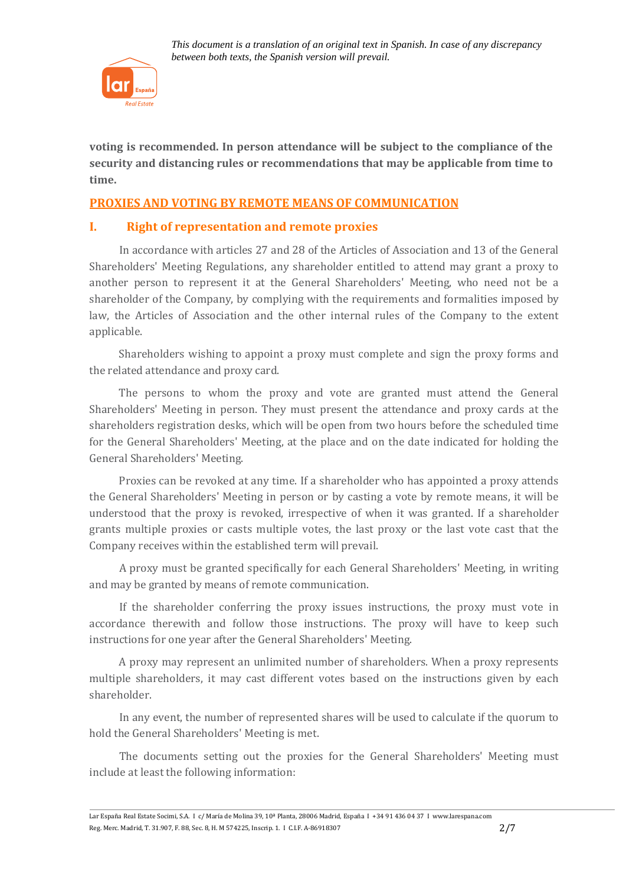

**voting is recommended. In person attendance will be subject to the compliance of the security and distancing rules or recommendations that may be applicable from time to time.**

# **PROXIES AND VOTING BY REMOTE MEANS OF COMMUNICATION**

# **I. Right of representation and remote proxies**

In accordance with articles 27 and 28 of the Articles of Association and 13 of the General Shareholders' Meeting Regulations, any shareholder entitled to attend may grant a proxy to another person to represent it at the General Shareholders' Meeting, who need not be a shareholder of the Company, by complying with the requirements and formalities imposed by law, the Articles of Association and the other internal rules of the Company to the extent applicable.

Shareholders wishing to appoint a proxy must complete and sign the proxy forms and the related attendance and proxy card.

The persons to whom the proxy and vote are granted must attend the General Shareholders' Meeting in person. They must present the attendance and proxy cards at the shareholders registration desks, which will be open from two hours before the scheduled time for the General Shareholders' Meeting, at the place and on the date indicated for holding the General Shareholders' Meeting.

Proxies can be revoked at any time. If a shareholder who has appointed a proxy attends the General Shareholders' Meeting in person or by casting a vote by remote means, it will be understood that the proxy is revoked, irrespective of when it was granted. If a shareholder grants multiple proxies or casts multiple votes, the last proxy or the last vote cast that the Company receives within the established term will prevail.

A proxy must be granted specifically for each General Shareholders' Meeting, in writing and may be granted by means of remote communication.

If the shareholder conferring the proxy issues instructions, the proxy must vote in accordance therewith and follow those instructions. The proxy will have to keep such instructions for one year after the General Shareholders' Meeting.

A proxy may represent an unlimited number of shareholders. When a proxy represents multiple shareholders, it may cast different votes based on the instructions given by each shareholder.

In any event, the number of represented shares will be used to calculate if the quorum to hold the General Shareholders' Meeting is met.

The documents setting out the proxies for the General Shareholders' Meeting must include at least the following information: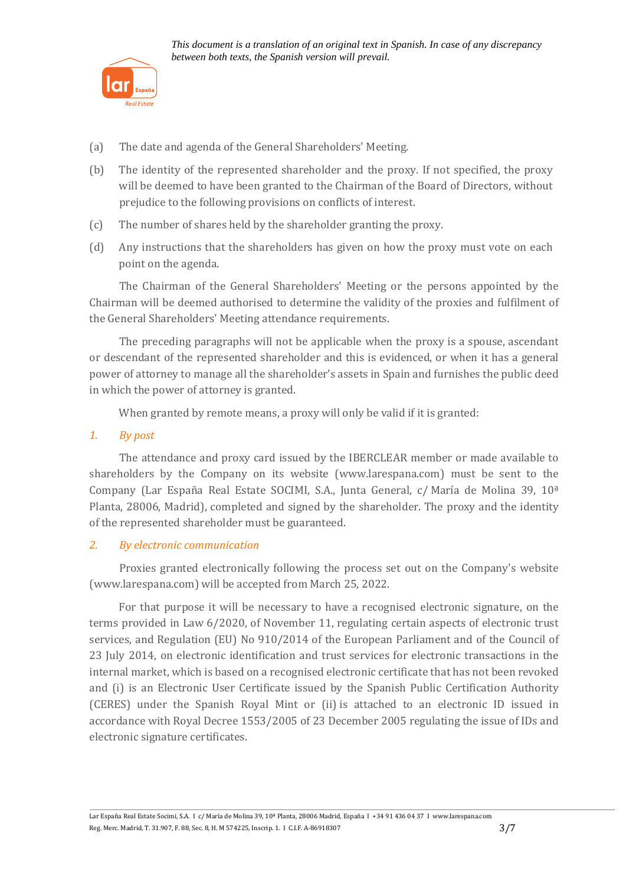

- (a) The date and agenda of the General Shareholders' Meeting.
- (b) The identity of the represented shareholder and the proxy. If not specified, the proxy will be deemed to have been granted to the Chairman of the Board of Directors, without prejudice to the following provisions on conflicts of interest.
- (c) The number of shares held by the shareholder granting the proxy.
- (d) Any instructions that the shareholders has given on how the proxy must vote on each point on the agenda.

The Chairman of the General Shareholders' Meeting or the persons appointed by the Chairman will be deemed authorised to determine the validity of the proxies and fulfilment of the General Shareholders' Meeting attendance requirements.

The preceding paragraphs will not be applicable when the proxy is a spouse, ascendant or descendant of the represented shareholder and this is evidenced, or when it has a general power of attorney to manage all the shareholder's assets in Spain and furnishes the public deed in which the power of attorney is granted.

When granted by remote means, a proxy will only be valid if it is granted:

#### *1. By post*

The attendance and proxy card issued by the IBERCLEAR member or made available to shareholders by the Company on its website [\(www.larespana.com\)](http://www.larespana.com/) must be sent to the Company (Lar España Real Estate SOCIMI, S.A., Junta General, c/ María de Molina 39, 10ª Planta, 28006, Madrid), completed and signed by the shareholder. The proxy and the identity of the represented shareholder must be guaranteed.

# *2. By electronic communication*

Proxies granted electronically following the process set out on the Company's website [\(www.larespana.com\)](http://www.larespana.com/) will be accepted from March 25, 2022.

For that purpose it will be necessary to have a recognised electronic signature, on the terms provided in Law 6/2020, of November 11, regulating certain aspects of electronic trust services, and Regulation (EU) No 910/2014 of the European Parliament and of the Council of 23 July 2014, on electronic identification and trust services for electronic transactions in the internal market, which is based on a recognised electronic certificate that has not been revoked and (i) is an Electronic User Certificate issued by the Spanish Public Certification Authority (CERES) under the Spanish Royal Mint or (ii) is attached to an electronic ID issued in accordance with Royal Decree 1553/2005 of 23 December 2005 regulating the issue of IDs and electronic signature certificates.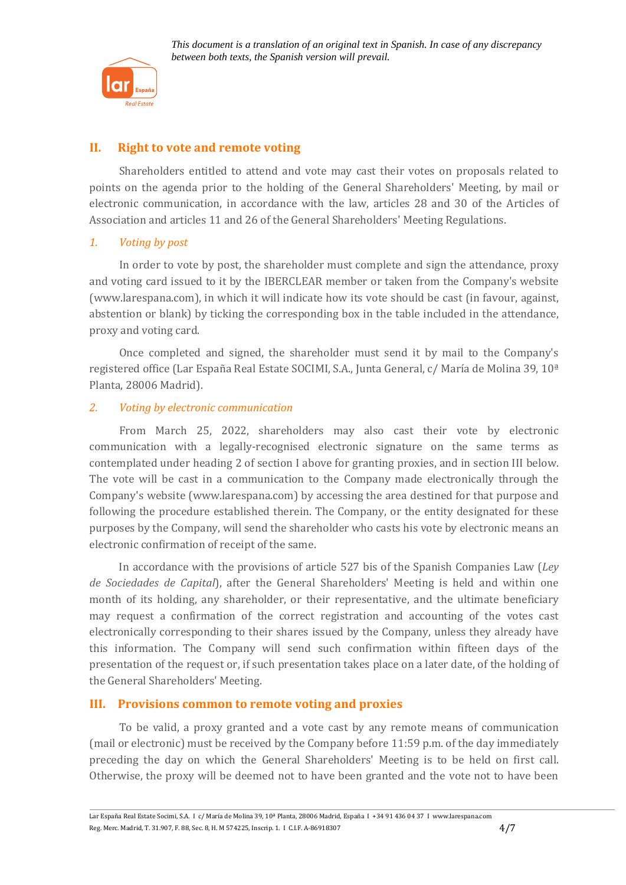

# **II. Right to vote and remote voting**

Shareholders entitled to attend and vote may cast their votes on proposals related to points on the agenda prior to the holding of the General Shareholders' Meeting, by mail or electronic communication, in accordance with the law, articles 28 and 30 of the Articles of Association and articles 11 and 26 of the General Shareholders' Meeting Regulations.

#### *1. Voting by post*

In order to vote by post, the shareholder must complete and sign the attendance, proxy and voting card issued to it by the IBERCLEAR member or taken from the Company's website [\(www.larespana.com\)](http://www.larespana.com/), in which it will indicate how its vote should be cast (in favour, against, abstention or blank) by ticking the corresponding box in the table included in the attendance, proxy and voting card.

Once completed and signed, the shareholder must send it by mail to the Company's registered office (Lar España Real Estate SOCIMI, S.A., Junta General, c/ María de Molina 39, 10ª Planta, 28006 Madrid).

#### *2. Voting by electronic communication*

From March 25, 2022, shareholders may also cast their vote by electronic communication with a legally-recognised electronic signature on the same terms as contemplated under heading 2 of section I above for granting proxies, and in section III below. The vote will be cast in a communication to the Company made electronically through the Company's website [\(www.larespana.com\)](http://www.larespana.com/) by accessing the area destined for that purpose and following the procedure established therein. The Company, or the entity designated for these purposes by the Company, will send the shareholder who casts his vote by electronic means an electronic confirmation of receipt of the same.

In accordance with the provisions of article 527 bis of the Spanish Companies Law (*Ley de Sociedades de Capital*), after the General Shareholders' Meeting is held and within one month of its holding, any shareholder, or their representative, and the ultimate beneficiary may request a confirmation of the correct registration and accounting of the votes cast electronically corresponding to their shares issued by the Company, unless they already have this information. The Company will send such confirmation within fifteen days of the presentation of the request or, if such presentation takes place on a later date, of the holding of the General Shareholders' Meeting.

# **III. Provisions common to remote voting and proxies**

To be valid, a proxy granted and a vote cast by any remote means of communication (mail or electronic) must be received by the Company before 11:59 p.m. of the day immediately preceding the day on which the General Shareholders' Meeting is to be held on first call. Otherwise, the proxy will be deemed not to have been granted and the vote not to have been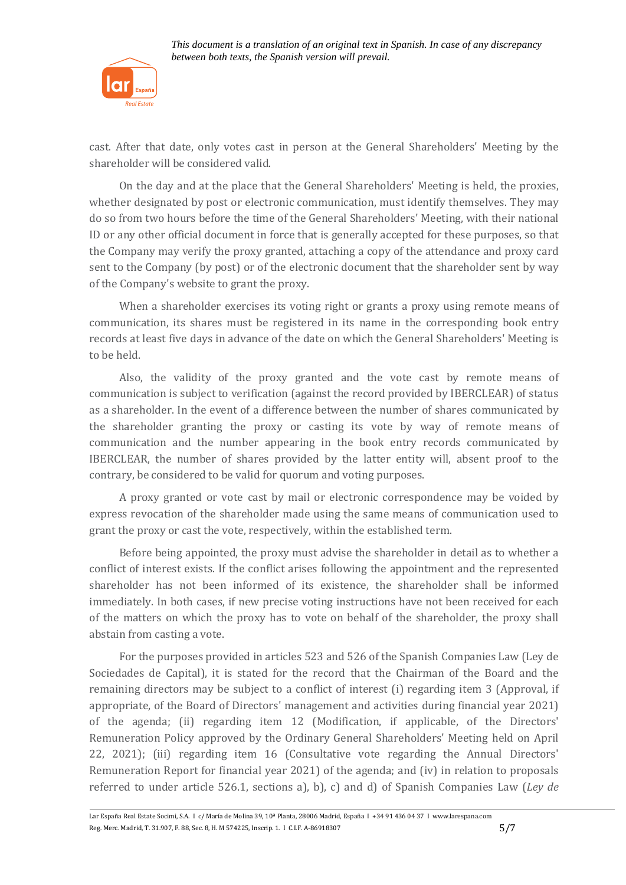

cast. After that date, only votes cast in person at the General Shareholders' Meeting by the shareholder will be considered valid.

On the day and at the place that the General Shareholders' Meeting is held, the proxies, whether designated by post or electronic communication, must identify themselves. They may do so from two hours before the time of the General Shareholders' Meeting, with their national ID or any other official document in force that is generally accepted for these purposes, so that the Company may verify the proxy granted, attaching a copy of the attendance and proxy card sent to the Company (by post) or of the electronic document that the shareholder sent by way of the Company's website to grant the proxy.

When a shareholder exercises its voting right or grants a proxy using remote means of communication, its shares must be registered in its name in the corresponding book entry records at least five days in advance of the date on which the General Shareholders' Meeting is to be held.

Also, the validity of the proxy granted and the vote cast by remote means of communication is subject to verification (against the record provided by IBERCLEAR) of status as a shareholder. In the event of a difference between the number of shares communicated by the shareholder granting the proxy or casting its vote by way of remote means of communication and the number appearing in the book entry records communicated by IBERCLEAR, the number of shares provided by the latter entity will, absent proof to the contrary, be considered to be valid for quorum and voting purposes.

A proxy granted or vote cast by mail or electronic correspondence may be voided by express revocation of the shareholder made using the same means of communication used to grant the proxy or cast the vote, respectively, within the established term.

Before being appointed, the proxy must advise the shareholder in detail as to whether a conflict of interest exists. If the conflict arises following the appointment and the represented shareholder has not been informed of its existence, the shareholder shall be informed immediately. In both cases, if new precise voting instructions have not been received for each of the matters on which the proxy has to vote on behalf of the shareholder, the proxy shall abstain from casting a vote.

For the purposes provided in articles 523 and 526 of the Spanish Companies Law (Ley de Sociedades de Capital), it is stated for the record that the Chairman of the Board and the remaining directors may be subject to a conflict of interest (i) regarding item 3 (Approval, if appropriate, of the Board of Directors' management and activities during financial year 2021) of the agenda; (ii) regarding item 12 (Modification, if applicable, of the Directors' Remuneration Policy approved by the Ordinary General Shareholders' Meeting held on April 22, 2021); (iii) regarding item 16 (Consultative vote regarding the Annual Directors' Remuneration Report for financial year 2021) of the agenda; and (iv) in relation to proposals referred to under article 526.1, sections a), b), c) and d) of Spanish Companies Law (*Ley de*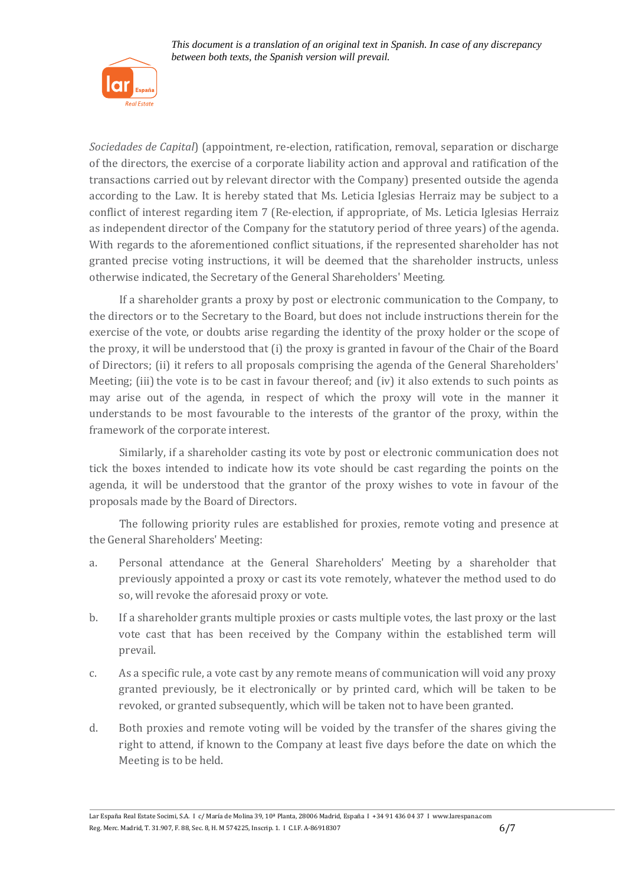

*Sociedades de Capital*) (appointment, re-election, ratification, removal, separation or discharge of the directors, the exercise of a corporate liability action and approval and ratification of the transactions carried out by relevant director with the Company) presented outside the agenda according to the Law. It is hereby stated that Ms. Leticia Iglesias Herraiz may be subject to a conflict of interest regarding item 7 (Re-election, if appropriate, of Ms. Leticia Iglesias Herraiz as independent director of the Company for the statutory period of three years) of the agenda. With regards to the aforementioned conflict situations, if the represented shareholder has not granted precise voting instructions, it will be deemed that the shareholder instructs, unless otherwise indicated, the Secretary of the General Shareholders' Meeting.

If a shareholder grants a proxy by post or electronic communication to the Company, to the directors or to the Secretary to the Board, but does not include instructions therein for the exercise of the vote, or doubts arise regarding the identity of the proxy holder or the scope of the proxy, it will be understood that (i) the proxy is granted in favour of the Chair of the Board of Directors; (ii) it refers to all proposals comprising the agenda of the General Shareholders' Meeting; (iii) the vote is to be cast in favour thereof; and (iv) it also extends to such points as may arise out of the agenda, in respect of which the proxy will vote in the manner it understands to be most favourable to the interests of the grantor of the proxy, within the framework of the corporate interest.

Similarly, if a shareholder casting its vote by post or electronic communication does not tick the boxes intended to indicate how its vote should be cast regarding the points on the agenda, it will be understood that the grantor of the proxy wishes to vote in favour of the proposals made by the Board of Directors.

The following priority rules are established for proxies, remote voting and presence at the General Shareholders' Meeting:

- a. Personal attendance at the General Shareholders' Meeting by a shareholder that previously appointed a proxy or cast its vote remotely, whatever the method used to do so, will revoke the aforesaid proxy or vote.
- b. If a shareholder grants multiple proxies or casts multiple votes, the last proxy or the last vote cast that has been received by the Company within the established term will prevail.
- c. As a specific rule, a vote cast by any remote means of communication will void any proxy granted previously, be it electronically or by printed card, which will be taken to be revoked, or granted subsequently, which will be taken not to have been granted.
- d. Both proxies and remote voting will be voided by the transfer of the shares giving the right to attend, if known to the Company at least five days before the date on which the Meeting is to be held.